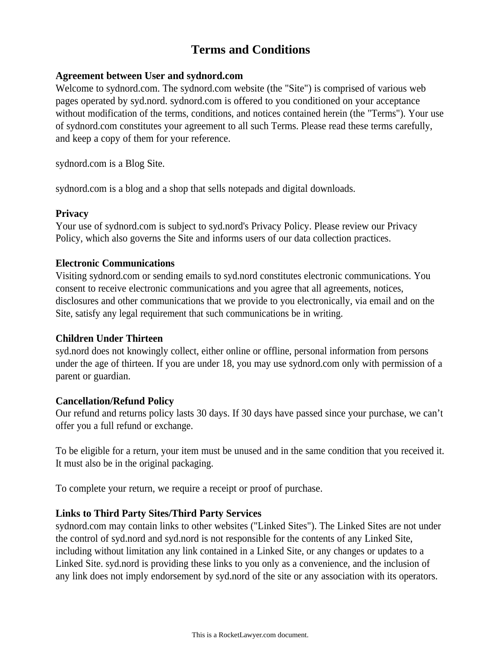# **Terms and Conditions**

# **Agreement between User and sydnord.com**

Welcome to sydnord.com. The sydnord.com website (the "Site") is comprised of various web pages operated by syd.nord. sydnord.com is offered to you conditioned on your acceptance without modification of the terms, conditions, and notices contained herein (the "Terms"). Your use of sydnord.com constitutes your agreement to all such Terms. Please read these terms carefully, and keep a copy of them for your reference.

sydnord.com is a Blog Site.

sydnord.com is a blog and a shop that sells notepads and digital downloads.

# **Privacy**

Your use of sydnord.com is subject to syd.nord's Privacy Policy. Please review our Privacy Policy, which also governs the Site and informs users of our data collection practices.

#### **Electronic Communications**

Visiting sydnord.com or sending emails to syd.nord constitutes electronic communications. You consent to receive electronic communications and you agree that all agreements, notices, disclosures and other communications that we provide to you electronically, via email and on the Site, satisfy any legal requirement that such communications be in writing.

#### **Children Under Thirteen**

syd.nord does not knowingly collect, either online or offline, personal information from persons under the age of thirteen. If you are under 18, you may use sydnord.com only with permission of a parent or guardian.

#### **Cancellation/Refund Policy**

Our refund and returns policy lasts 30 days. If 30 days have passed since your purchase, we can't offer you a full refund or exchange.

To be eligible for a return, your item must be unused and in the same condition that you received it. It must also be in the original packaging.

To complete your return, we require a receipt or proof of purchase.

# **Links to Third Party Sites/Third Party Services**

sydnord.com may contain links to other websites ("Linked Sites"). The Linked Sites are not under the control of syd.nord and syd.nord is not responsible for the contents of any Linked Site, including without limitation any link contained in a Linked Site, or any changes or updates to a Linked Site. syd.nord is providing these links to you only as a convenience, and the inclusion of any link does not imply endorsement by syd.nord of the site or any association with its operators.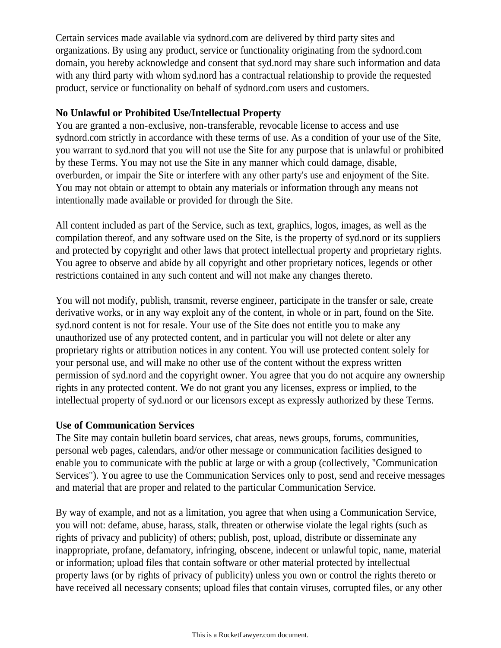Certain services made available via sydnord.com are delivered by third party sites and organizations. By using any product, service or functionality originating from the sydnord.com domain, you hereby acknowledge and consent that syd.nord may share such information and data with any third party with whom syd.nord has a contractual relationship to provide the requested product, service or functionality on behalf of sydnord.com users and customers.

### **No Unlawful or Prohibited Use/Intellectual Property**

You are granted a non-exclusive, non-transferable, revocable license to access and use sydnord.com strictly in accordance with these terms of use. As a condition of your use of the Site, you warrant to syd.nord that you will not use the Site for any purpose that is unlawful or prohibited by these Terms. You may not use the Site in any manner which could damage, disable, overburden, or impair the Site or interfere with any other party's use and enjoyment of the Site. You may not obtain or attempt to obtain any materials or information through any means not intentionally made available or provided for through the Site.

All content included as part of the Service, such as text, graphics, logos, images, as well as the compilation thereof, and any software used on the Site, is the property of syd.nord or its suppliers and protected by copyright and other laws that protect intellectual property and proprietary rights. You agree to observe and abide by all copyright and other proprietary notices, legends or other restrictions contained in any such content and will not make any changes thereto.

You will not modify, publish, transmit, reverse engineer, participate in the transfer or sale, create derivative works, or in any way exploit any of the content, in whole or in part, found on the Site. syd.nord content is not for resale. Your use of the Site does not entitle you to make any unauthorized use of any protected content, and in particular you will not delete or alter any proprietary rights or attribution notices in any content. You will use protected content solely for your personal use, and will make no other use of the content without the express written permission of syd.nord and the copyright owner. You agree that you do not acquire any ownership rights in any protected content. We do not grant you any licenses, express or implied, to the intellectual property of syd.nord or our licensors except as expressly authorized by these Terms.

# **Use of Communication Services**

The Site may contain bulletin board services, chat areas, news groups, forums, communities, personal web pages, calendars, and/or other message or communication facilities designed to enable you to communicate with the public at large or with a group (collectively, "Communication Services"). You agree to use the Communication Services only to post, send and receive messages and material that are proper and related to the particular Communication Service.

By way of example, and not as a limitation, you agree that when using a Communication Service, you will not: defame, abuse, harass, stalk, threaten or otherwise violate the legal rights (such as rights of privacy and publicity) of others; publish, post, upload, distribute or disseminate any inappropriate, profane, defamatory, infringing, obscene, indecent or unlawful topic, name, material or information; upload files that contain software or other material protected by intellectual property laws (or by rights of privacy of publicity) unless you own or control the rights thereto or have received all necessary consents; upload files that contain viruses, corrupted files, or any other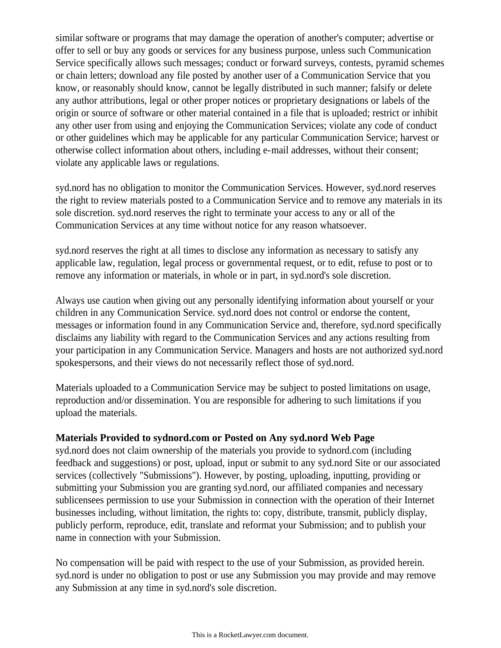similar software or programs that may damage the operation of another's computer; advertise or offer to sell or buy any goods or services for any business purpose, unless such Communication Service specifically allows such messages; conduct or forward surveys, contests, pyramid schemes or chain letters; download any file posted by another user of a Communication Service that you know, or reasonably should know, cannot be legally distributed in such manner; falsify or delete any author attributions, legal or other proper notices or proprietary designations or labels of the origin or source of software or other material contained in a file that is uploaded; restrict or inhibit any other user from using and enjoying the Communication Services; violate any code of conduct or other guidelines which may be applicable for any particular Communication Service; harvest or otherwise collect information about others, including e-mail addresses, without their consent; violate any applicable laws or regulations.

syd.nord has no obligation to monitor the Communication Services. However, syd.nord reserves the right to review materials posted to a Communication Service and to remove any materials in its sole discretion. syd.nord reserves the right to terminate your access to any or all of the Communication Services at any time without notice for any reason whatsoever.

syd.nord reserves the right at all times to disclose any information as necessary to satisfy any applicable law, regulation, legal process or governmental request, or to edit, refuse to post or to remove any information or materials, in whole or in part, in syd.nord's sole discretion.

Always use caution when giving out any personally identifying information about yourself or your children in any Communication Service. syd.nord does not control or endorse the content, messages or information found in any Communication Service and, therefore, syd.nord specifically disclaims any liability with regard to the Communication Services and any actions resulting from your participation in any Communication Service. Managers and hosts are not authorized syd.nord spokespersons, and their views do not necessarily reflect those of syd.nord.

Materials uploaded to a Communication Service may be subject to posted limitations on usage, reproduction and/or dissemination. You are responsible for adhering to such limitations if you upload the materials.

# **Materials Provided to sydnord.com or Posted on Any syd.nord Web Page**

syd.nord does not claim ownership of the materials you provide to sydnord.com (including feedback and suggestions) or post, upload, input or submit to any syd.nord Site or our associated services (collectively "Submissions"). However, by posting, uploading, inputting, providing or submitting your Submission you are granting syd.nord, our affiliated companies and necessary sublicensees permission to use your Submission in connection with the operation of their Internet businesses including, without limitation, the rights to: copy, distribute, transmit, publicly display, publicly perform, reproduce, edit, translate and reformat your Submission; and to publish your name in connection with your Submission.

No compensation will be paid with respect to the use of your Submission, as provided herein. syd.nord is under no obligation to post or use any Submission you may provide and may remove any Submission at any time in syd.nord's sole discretion.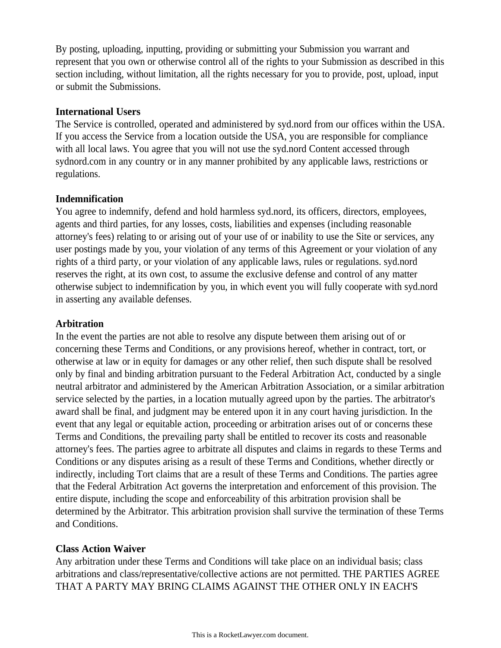By posting, uploading, inputting, providing or submitting your Submission you warrant and represent that you own or otherwise control all of the rights to your Submission as described in this section including, without limitation, all the rights necessary for you to provide, post, upload, input or submit the Submissions.

#### **International Users**

The Service is controlled, operated and administered by syd.nord from our offices within the USA. If you access the Service from a location outside the USA, you are responsible for compliance with all local laws. You agree that you will not use the syd.nord Content accessed through sydnord.com in any country or in any manner prohibited by any applicable laws, restrictions or regulations.

# **Indemnification**

You agree to indemnify, defend and hold harmless syd.nord, its officers, directors, employees, agents and third parties, for any losses, costs, liabilities and expenses (including reasonable attorney's fees) relating to or arising out of your use of or inability to use the Site or services, any user postings made by you, your violation of any terms of this Agreement or your violation of any rights of a third party, or your violation of any applicable laws, rules or regulations. syd.nord reserves the right, at its own cost, to assume the exclusive defense and control of any matter otherwise subject to indemnification by you, in which event you will fully cooperate with syd.nord in asserting any available defenses.

### **Arbitration**

In the event the parties are not able to resolve any dispute between them arising out of or concerning these Terms and Conditions, or any provisions hereof, whether in contract, tort, or otherwise at law or in equity for damages or any other relief, then such dispute shall be resolved only by final and binding arbitration pursuant to the Federal Arbitration Act, conducted by a single neutral arbitrator and administered by the American Arbitration Association, or a similar arbitration service selected by the parties, in a location mutually agreed upon by the parties. The arbitrator's award shall be final, and judgment may be entered upon it in any court having jurisdiction. In the event that any legal or equitable action, proceeding or arbitration arises out of or concerns these Terms and Conditions, the prevailing party shall be entitled to recover its costs and reasonable attorney's fees. The parties agree to arbitrate all disputes and claims in regards to these Terms and Conditions or any disputes arising as a result of these Terms and Conditions, whether directly or indirectly, including Tort claims that are a result of these Terms and Conditions. The parties agree that the Federal Arbitration Act governs the interpretation and enforcement of this provision. The entire dispute, including the scope and enforceability of this arbitration provision shall be determined by the Arbitrator. This arbitration provision shall survive the termination of these Terms and Conditions.

# **Class Action Waiver**

Any arbitration under these Terms and Conditions will take place on an individual basis; class arbitrations and class/representative/collective actions are not permitted. THE PARTIES AGREE THAT A PARTY MAY BRING CLAIMS AGAINST THE OTHER ONLY IN EACH'S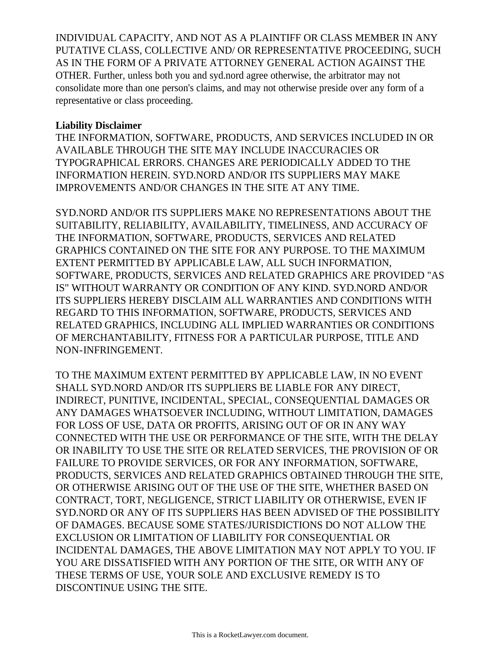INDIVIDUAL CAPACITY, AND NOT AS A PLAINTIFF OR CLASS MEMBER IN ANY PUTATIVE CLASS, COLLECTIVE AND/ OR REPRESENTATIVE PROCEEDING, SUCH AS IN THE FORM OF A PRIVATE ATTORNEY GENERAL ACTION AGAINST THE OTHER. Further, unless both you and syd.nord agree otherwise, the arbitrator may not consolidate more than one person's claims, and may not otherwise preside over any form of a representative or class proceeding.

#### **Liability Disclaimer**

THE INFORMATION, SOFTWARE, PRODUCTS, AND SERVICES INCLUDED IN OR AVAILABLE THROUGH THE SITE MAY INCLUDE INACCURACIES OR TYPOGRAPHICAL ERRORS. CHANGES ARE PERIODICALLY ADDED TO THE INFORMATION HEREIN. SYD.NORD AND/OR ITS SUPPLIERS MAY MAKE IMPROVEMENTS AND/OR CHANGES IN THE SITE AT ANY TIME.

SYD.NORD AND/OR ITS SUPPLIERS MAKE NO REPRESENTATIONS ABOUT THE SUITABILITY, RELIABILITY, AVAILABILITY, TIMELINESS, AND ACCURACY OF THE INFORMATION, SOFTWARE, PRODUCTS, SERVICES AND RELATED GRAPHICS CONTAINED ON THE SITE FOR ANY PURPOSE. TO THE MAXIMUM EXTENT PERMITTED BY APPLICABLE LAW, ALL SUCH INFORMATION, SOFTWARE, PRODUCTS, SERVICES AND RELATED GRAPHICS ARE PROVIDED "AS IS" WITHOUT WARRANTY OR CONDITION OF ANY KIND. SYD.NORD AND/OR ITS SUPPLIERS HEREBY DISCLAIM ALL WARRANTIES AND CONDITIONS WITH REGARD TO THIS INFORMATION, SOFTWARE, PRODUCTS, SERVICES AND RELATED GRAPHICS, INCLUDING ALL IMPLIED WARRANTIES OR CONDITIONS OF MERCHANTABILITY, FITNESS FOR A PARTICULAR PURPOSE, TITLE AND NON-INFRINGEMENT.

TO THE MAXIMUM EXTENT PERMITTED BY APPLICABLE LAW, IN NO EVENT SHALL SYD.NORD AND/OR ITS SUPPLIERS BE LIABLE FOR ANY DIRECT, INDIRECT, PUNITIVE, INCIDENTAL, SPECIAL, CONSEQUENTIAL DAMAGES OR ANY DAMAGES WHATSOEVER INCLUDING, WITHOUT LIMITATION, DAMAGES FOR LOSS OF USE, DATA OR PROFITS, ARISING OUT OF OR IN ANY WAY CONNECTED WITH THE USE OR PERFORMANCE OF THE SITE, WITH THE DELAY OR INABILITY TO USE THE SITE OR RELATED SERVICES, THE PROVISION OF OR FAILURE TO PROVIDE SERVICES, OR FOR ANY INFORMATION, SOFTWARE, PRODUCTS, SERVICES AND RELATED GRAPHICS OBTAINED THROUGH THE SITE, OR OTHERWISE ARISING OUT OF THE USE OF THE SITE, WHETHER BASED ON CONTRACT, TORT, NEGLIGENCE, STRICT LIABILITY OR OTHERWISE, EVEN IF SYD.NORD OR ANY OF ITS SUPPLIERS HAS BEEN ADVISED OF THE POSSIBILITY OF DAMAGES. BECAUSE SOME STATES/JURISDICTIONS DO NOT ALLOW THE EXCLUSION OR LIMITATION OF LIABILITY FOR CONSEQUENTIAL OR INCIDENTAL DAMAGES, THE ABOVE LIMITATION MAY NOT APPLY TO YOU. IF YOU ARE DISSATISFIED WITH ANY PORTION OF THE SITE, OR WITH ANY OF THESE TERMS OF USE, YOUR SOLE AND EXCLUSIVE REMEDY IS TO DISCONTINUE USING THE SITE.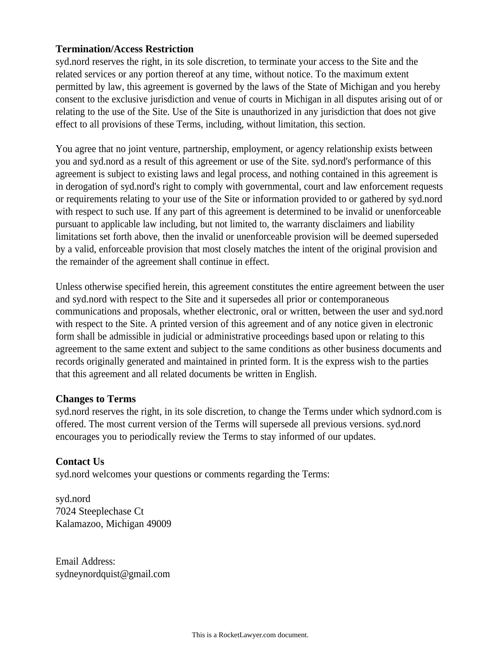# **Termination/Access Restriction**

syd.nord reserves the right, in its sole discretion, to terminate your access to the Site and the related services or any portion thereof at any time, without notice. To the maximum extent permitted by law, this agreement is governed by the laws of the State of Michigan and you hereby consent to the exclusive jurisdiction and venue of courts in Michigan in all disputes arising out of or relating to the use of the Site. Use of the Site is unauthorized in any jurisdiction that does not give effect to all provisions of these Terms, including, without limitation, this section.

You agree that no joint venture, partnership, employment, or agency relationship exists between you and syd.nord as a result of this agreement or use of the Site. syd.nord's performance of this agreement is subject to existing laws and legal process, and nothing contained in this agreement is in derogation of syd.nord's right to comply with governmental, court and law enforcement requests or requirements relating to your use of the Site or information provided to or gathered by syd.nord with respect to such use. If any part of this agreement is determined to be invalid or unenforceable pursuant to applicable law including, but not limited to, the warranty disclaimers and liability limitations set forth above, then the invalid or unenforceable provision will be deemed superseded by a valid, enforceable provision that most closely matches the intent of the original provision and the remainder of the agreement shall continue in effect.

Unless otherwise specified herein, this agreement constitutes the entire agreement between the user and syd.nord with respect to the Site and it supersedes all prior or contemporaneous communications and proposals, whether electronic, oral or written, between the user and syd.nord with respect to the Site. A printed version of this agreement and of any notice given in electronic form shall be admissible in judicial or administrative proceedings based upon or relating to this agreement to the same extent and subject to the same conditions as other business documents and records originally generated and maintained in printed form. It is the express wish to the parties that this agreement and all related documents be written in English.

#### **Changes to Terms**

syd.nord reserves the right, in its sole discretion, to change the Terms under which sydnord.com is offered. The most current version of the Terms will supersede all previous versions. syd.nord encourages you to periodically review the Terms to stay informed of our updates.

# **Contact Us**

syd.nord welcomes your questions or comments regarding the Terms:

syd.nord 7024 Steeplechase Ct Kalamazoo, Michigan 49009

Email Address: sydneynordquist@gmail.com